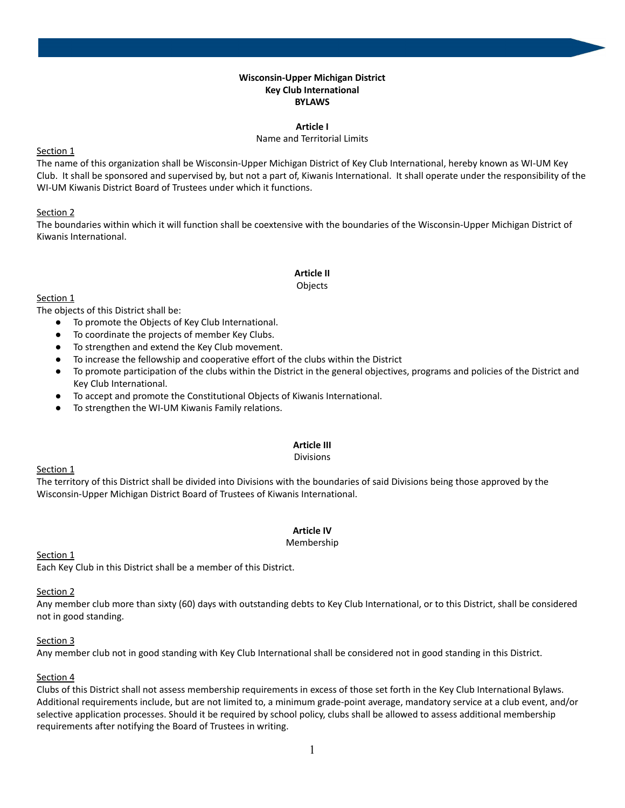#### **Wisconsin-Upper Michigan District Key Club International BYLAWS**

#### **Article I**

#### Name and Territorial Limits

### Section 1

The name of this organization shall be Wisconsin-Upper Michigan District of Key Club International, hereby known as WI-UM Key Club. It shall be sponsored and supervised by, but not a part of, Kiwanis International. It shall operate under the responsibility of the WI-UM Kiwanis District Board of Trustees under which it functions.

# Section 2

The boundaries within which it will function shall be coextensive with the boundaries of the Wisconsin-Upper Michigan District of Kiwanis International.

# **Article II**

#### Objects

### Section 1

The objects of this District shall be:

- To promote the Objects of Key Club International.
- To coordinate the projects of member Key Clubs.
- To strengthen and extend the Key Club movement.
- To increase the fellowship and cooperative effort of the clubs within the District
- To promote participation of the clubs within the District in the general objectives, programs and policies of the District and Key Club International.
- To accept and promote the Constitutional Objects of Kiwanis International.
- To strengthen the WI-UM Kiwanis Family relations.

# **Article III**

#### Divisions

#### Section 1

The territory of this District shall be divided into Divisions with the boundaries of said Divisions being those approved by the Wisconsin-Upper Michigan District Board of Trustees of Kiwanis International.

# **Article IV**

#### Membership

# Section 1

Each Key Club in this District shall be a member of this District.

# Section 2

Any member club more than sixty (60) days with outstanding debts to Key Club International, or to this District, shall be considered not in good standing.

# Section 3

Any member club not in good standing with Key Club International shall be considered not in good standing in this District.

# Section 4

Clubs of this District shall not assess membership requirements in excess of those set forth in the Key Club International Bylaws. Additional requirements include, but are not limited to, a minimum grade-point average, mandatory service at a club event, and/or selective application processes. Should it be required by school policy, clubs shall be allowed to assess additional membership requirements after notifying the Board of Trustees in writing.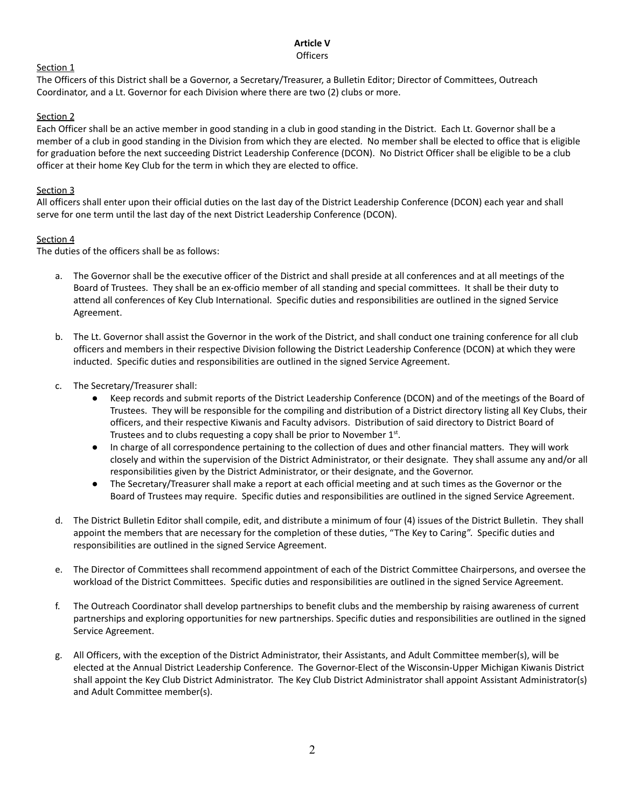# **Article V**

# **Officers**

# Section 1

The Officers of this District shall be a Governor, a Secretary/Treasurer, a Bulletin Editor; Director of Committees, Outreach Coordinator, and a Lt. Governor for each Division where there are two (2) clubs or more.

# Section 2

Each Officer shall be an active member in good standing in a club in good standing in the District. Each Lt. Governor shall be a member of a club in good standing in the Division from which they are elected. No member shall be elected to office that is eligible for graduation before the next succeeding District Leadership Conference (DCON). No District Officer shall be eligible to be a club officer at their home Key Club for the term in which they are elected to office.

# Section 3

All officers shall enter upon their official duties on the last day of the District Leadership Conference (DCON) each year and shall serve for one term until the last day of the next District Leadership Conference (DCON).

# Section 4

The duties of the officers shall be as follows:

- a. The Governor shall be the executive officer of the District and shall preside at all conferences and at all meetings of the Board of Trustees. They shall be an ex-officio member of all standing and special committees. It shall be their duty to attend all conferences of Key Club International. Specific duties and responsibilities are outlined in the signed Service Agreement.
- b. The Lt. Governor shall assist the Governor in the work of the District, and shall conduct one training conference for all club officers and members in their respective Division following the District Leadership Conference (DCON) at which they were inducted. Specific duties and responsibilities are outlined in the signed Service Agreement.
- c. The Secretary/Treasurer shall:
	- Keep records and submit reports of the District Leadership Conference (DCON) and of the meetings of the Board of Trustees. They will be responsible for the compiling and distribution of a District directory listing all Key Clubs, their officers, and their respective Kiwanis and Faculty advisors. Distribution of said directory to District Board of Trustees and to clubs requesting a copy shall be prior to November  $1<sup>st</sup>$ .
	- In charge of all correspondence pertaining to the collection of dues and other financial matters. They will work closely and within the supervision of the District Administrator, or their designate. They shall assume any and/or all responsibilities given by the District Administrator, or their designate, and the Governor.
	- The Secretary/Treasurer shall make a report at each official meeting and at such times as the Governor or the Board of Trustees may require. Specific duties and responsibilities are outlined in the signed Service Agreement.
- d. The District Bulletin Editor shall compile, edit, and distribute a minimum of four (4) issues of the District Bulletin. They shall appoint the members that are necessary for the completion of these duties, "The Key to Caring". Specific duties and responsibilities are outlined in the signed Service Agreement.
- e. The Director of Committees shall recommend appointment of each of the District Committee Chairpersons, and oversee the workload of the District Committees. Specific duties and responsibilities are outlined in the signed Service Agreement.
- f. The Outreach Coordinator shall develop partnerships to benefit clubs and the membership by raising awareness of current partnerships and exploring opportunities for new partnerships. Specific duties and responsibilities are outlined in the signed Service Agreement.
- g. All Officers, with the exception of the District Administrator, their Assistants, and Adult Committee member(s), will be elected at the Annual District Leadership Conference. The Governor-Elect of the Wisconsin-Upper Michigan Kiwanis District shall appoint the Key Club District Administrator. The Key Club District Administrator shall appoint Assistant Administrator(s) and Adult Committee member(s).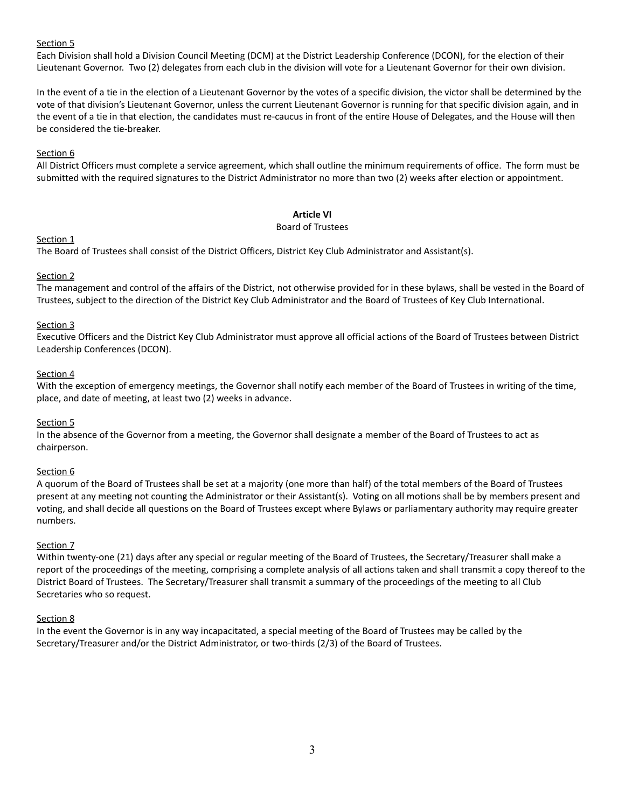# Section 5

Each Division shall hold a Division Council Meeting (DCM) at the District Leadership Conference (DCON), for the election of their Lieutenant Governor. Two (2) delegates from each club in the division will vote for a Lieutenant Governor for their own division.

In the event of a tie in the election of a Lieutenant Governor by the votes of a specific division, the victor shall be determined by the vote of that division's Lieutenant Governor, unless the current Lieutenant Governor is running for that specific division again, and in the event of a tie in that election, the candidates must re-caucus in front of the entire House of Delegates, and the House will then be considered the tie-breaker.

# Section 6

All District Officers must complete a service agreement, which shall outline the minimum requirements of office. The form must be submitted with the required signatures to the District Administrator no more than two (2) weeks after election or appointment.

### **Article VI**

#### Board of Trustees

# Section<sub>1</sub>

The Board of Trustees shall consist of the District Officers, District Key Club Administrator and Assistant(s).

# Section 2

The management and control of the affairs of the District, not otherwise provided for in these bylaws, shall be vested in the Board of Trustees, subject to the direction of the District Key Club Administrator and the Board of Trustees of Key Club International.

### Section 3

Executive Officers and the District Key Club Administrator must approve all official actions of the Board of Trustees between District Leadership Conferences (DCON).

### Section 4

With the exception of emergency meetings, the Governor shall notify each member of the Board of Trustees in writing of the time, place, and date of meeting, at least two (2) weeks in advance.

# Section 5

In the absence of the Governor from a meeting, the Governor shall designate a member of the Board of Trustees to act as chairperson.

# Section 6

A quorum of the Board of Trustees shall be set at a majority (one more than half) of the total members of the Board of Trustees present at any meeting not counting the Administrator or their Assistant(s). Voting on all motions shall be by members present and voting, and shall decide all questions on the Board of Trustees except where Bylaws or parliamentary authority may require greater numbers.

# Section 7

Within twenty-one (21) days after any special or regular meeting of the Board of Trustees, the Secretary/Treasurer shall make a report of the proceedings of the meeting, comprising a complete analysis of all actions taken and shall transmit a copy thereof to the District Board of Trustees. The Secretary/Treasurer shall transmit a summary of the proceedings of the meeting to all Club Secretaries who so request.

#### Section 8

In the event the Governor is in any way incapacitated, a special meeting of the Board of Trustees may be called by the Secretary/Treasurer and/or the District Administrator, or two-thirds (2/3) of the Board of Trustees.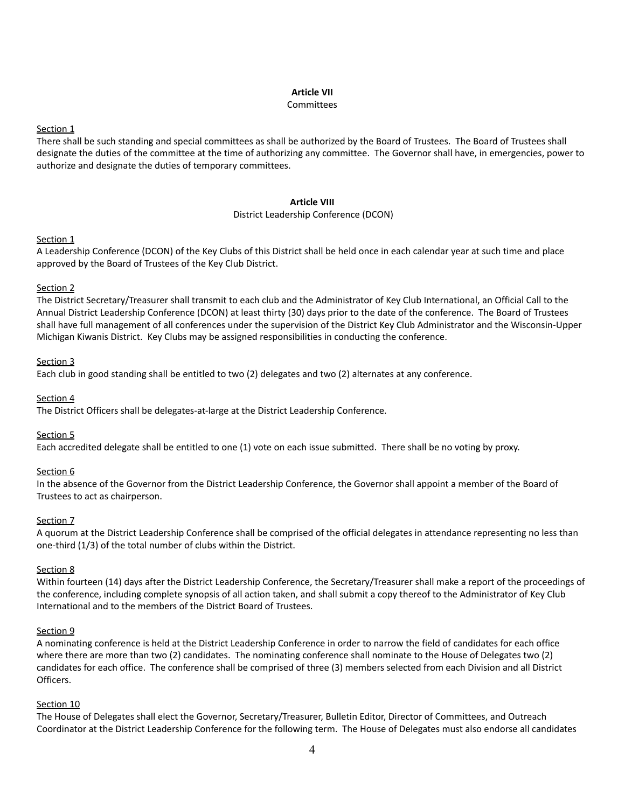### **Article VII**

#### **Committees**

### Section<sub>1</sub>

There shall be such standing and special committees as shall be authorized by the Board of Trustees. The Board of Trustees shall designate the duties of the committee at the time of authorizing any committee. The Governor shall have, in emergencies, power to authorize and designate the duties of temporary committees.

### **Article VIII**

### District Leadership Conference (DCON)

# Section<sub>1</sub>

A Leadership Conference (DCON) of the Key Clubs of this District shall be held once in each calendar year at such time and place approved by the Board of Trustees of the Key Club District.

# Section 2

The District Secretary/Treasurer shall transmit to each club and the Administrator of Key Club International, an Official Call to the Annual District Leadership Conference (DCON) at least thirty (30) days prior to the date of the conference. The Board of Trustees shall have full management of all conferences under the supervision of the District Key Club Administrator and the Wisconsin-Upper Michigan Kiwanis District. Key Clubs may be assigned responsibilities in conducting the conference.

# Section 3

Each club in good standing shall be entitled to two (2) delegates and two (2) alternates at any conference.

# Section 4

The District Officers shall be delegates-at-large at the District Leadership Conference.

# Section 5

Each accredited delegate shall be entitled to one (1) vote on each issue submitted. There shall be no voting by proxy.

# Section 6

In the absence of the Governor from the District Leadership Conference, the Governor shall appoint a member of the Board of Trustees to act as chairperson.

# Section 7

A quorum at the District Leadership Conference shall be comprised of the official delegates in attendance representing no less than one-third (1/3) of the total number of clubs within the District.

# Section 8

Within fourteen (14) days after the District Leadership Conference, the Secretary/Treasurer shall make a report of the proceedings of the conference, including complete synopsis of all action taken, and shall submit a copy thereof to the Administrator of Key Club International and to the members of the District Board of Trustees.

# Section 9

A nominating conference is held at the District Leadership Conference in order to narrow the field of candidates for each office where there are more than two (2) candidates. The nominating conference shall nominate to the House of Delegates two (2) candidates for each office. The conference shall be comprised of three (3) members selected from each Division and all District Officers.

# Section 10

The House of Delegates shall elect the Governor, Secretary/Treasurer, Bulletin Editor, Director of Committees, and Outreach Coordinator at the District Leadership Conference for the following term. The House of Delegates must also endorse all candidates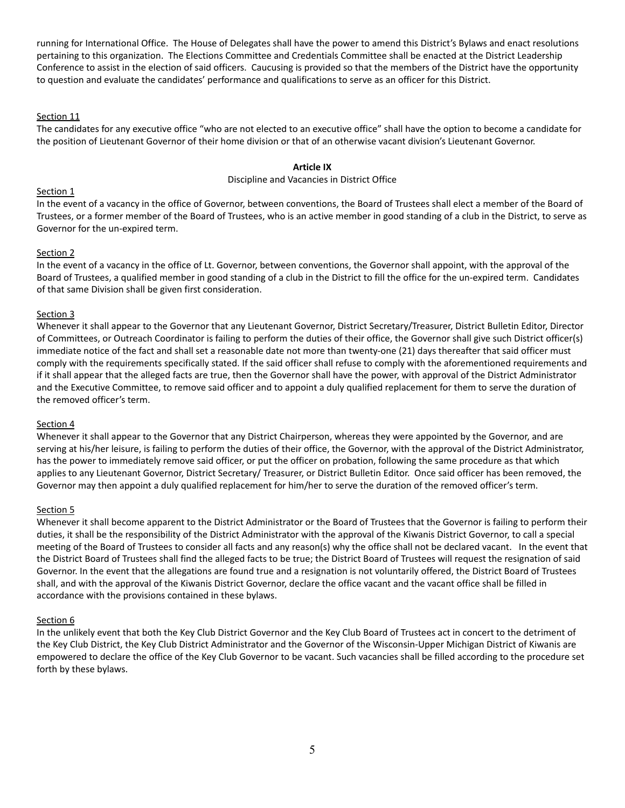running for International Office. The House of Delegates shall have the power to amend this District's Bylaws and enact resolutions pertaining to this organization. The Elections Committee and Credentials Committee shall be enacted at the District Leadership Conference to assist in the election of said officers. Caucusing is provided so that the members of the District have the opportunity to question and evaluate the candidates' performance and qualifications to serve as an officer for this District.

### Section 11

The candidates for any executive office "who are not elected to an executive office" shall have the option to become a candidate for the position of Lieutenant Governor of their home division or that of an otherwise vacant division's Lieutenant Governor.

#### **Article IX**

#### Discipline and Vacancies in District Office

#### Section 1

In the event of a vacancy in the office of Governor, between conventions, the Board of Trustees shall elect a member of the Board of Trustees, or a former member of the Board of Trustees, who is an active member in good standing of a club in the District, to serve as Governor for the un-expired term.

### Section 2

In the event of a vacancy in the office of Lt. Governor, between conventions, the Governor shall appoint, with the approval of the Board of Trustees, a qualified member in good standing of a club in the District to fill the office for the un-expired term. Candidates of that same Division shall be given first consideration.

### Section 3

Whenever it shall appear to the Governor that any Lieutenant Governor, District Secretary/Treasurer, District Bulletin Editor, Director of Committees, or Outreach Coordinator is failing to perform the duties of their office, the Governor shall give such District officer(s) immediate notice of the fact and shall set a reasonable date not more than twenty-one (21) days thereafter that said officer must comply with the requirements specifically stated. If the said officer shall refuse to comply with the aforementioned requirements and if it shall appear that the alleged facts are true, then the Governor shall have the power, with approval of the District Administrator and the Executive Committee, to remove said officer and to appoint a duly qualified replacement for them to serve the duration of the removed officer's term.

#### Section 4

Whenever it shall appear to the Governor that any District Chairperson, whereas they were appointed by the Governor, and are serving at his/her leisure, is failing to perform the duties of their office, the Governor, with the approval of the District Administrator, has the power to immediately remove said officer, or put the officer on probation, following the same procedure as that which applies to any Lieutenant Governor, District Secretary/ Treasurer, or District Bulletin Editor. Once said officer has been removed, the Governor may then appoint a duly qualified replacement for him/her to serve the duration of the removed officer's term.

# Section<sub>5</sub>

Whenever it shall become apparent to the District Administrator or the Board of Trustees that the Governor is failing to perform their duties, it shall be the responsibility of the District Administrator with the approval of the Kiwanis District Governor, to call a special meeting of the Board of Trustees to consider all facts and any reason(s) why the office shall not be declared vacant. In the event that the District Board of Trustees shall find the alleged facts to be true; the District Board of Trustees will request the resignation of said Governor. In the event that the allegations are found true and a resignation is not voluntarily offered, the District Board of Trustees shall, and with the approval of the Kiwanis District Governor, declare the office vacant and the vacant office shall be filled in accordance with the provisions contained in these bylaws.

#### Section 6

In the unlikely event that both the Key Club District Governor and the Key Club Board of Trustees act in concert to the detriment of the Key Club District, the Key Club District Administrator and the Governor of the Wisconsin-Upper Michigan District of Kiwanis are empowered to declare the office of the Key Club Governor to be vacant. Such vacancies shall be filled according to the procedure set forth by these bylaws.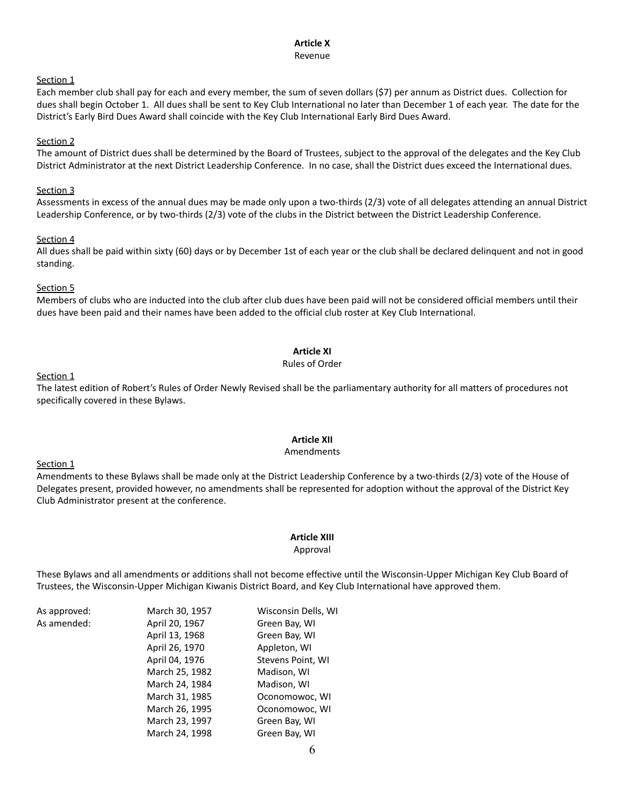#### **Article X** Revenue

#### Section<sub>1</sub>

Each member club shall pay for each and every member, the sum of seven dollars (\$7) per annum as District dues. Collection for dues shall begin October 1. All dues shall be sent to Key Club International no later than December 1 of each year. The date for the District's Early Bird Dues Award shall coincide with the Key Club International Early Bird Dues Award.

#### Section 2

The amount of District dues shall be determined by the Board of Trustees, subject to the approval of the delegates and the Key Club District Administrator at the next District Leadership Conference. In no case, shall the District dues exceed the International dues.

#### Section 3

Assessments in excess of the annual dues may be made only upon a two-thirds (2/3) vote of all delegates attending an annual District Leadership Conference, or by two-thirds (2/3) vote of the clubs in the District between the District Leadership Conference.

#### Section 4

All dues shall be paid within sixty (60) days or by December 1st of each year or the club shall be declared delinquent and not in good standing.

# Section 5

Members of clubs who are inducted into the club after club dues have been paid will not be considered official members until their dues have been paid and their names have been added to the official club roster at Key Club International.

# **Article XI**

#### Rules of Order

### Section 1

The latest edition of Robert's Rules of Order Newly Revised shall be the parliamentary authority for all matters of procedures not specifically covered in these Bylaws.

# **Article XII**

#### Amendments

#### Section 1

Amendments to these Bylaws shall be made only at the District Leadership Conference by a two-thirds (2/3) vote of the House of Delegates present, provided however, no amendments shall be represented for adoption without the approval of the District Key Club Administrator present at the conference.

# **Article XIII**

#### Approval

These Bylaws and all amendments or additions shall not become effective until the Wisconsin-Upper Michigan Key Club Board of Trustees, the Wisconsin-Upper Michigan Kiwanis District Board, and Key Club International have approved them.

| As approved: | March 30, 1957 | Wisconsin Dells, WI |
|--------------|----------------|---------------------|
| As amended:  | April 20, 1967 | Green Bay, WI       |
|              | April 13, 1968 | Green Bay, WI       |
|              | April 26, 1970 | Appleton, WI        |
|              | April 04, 1976 | Stevens Point, WI   |
|              | March 25, 1982 | Madison, WI         |
|              | March 24, 1984 | Madison, WI         |
|              | March 31, 1985 | Oconomowoc, WI      |
|              | March 26, 1995 | Oconomowoc, WI      |
|              | March 23, 1997 | Green Bay, WI       |
|              | March 24, 1998 | Green Bay, WI       |